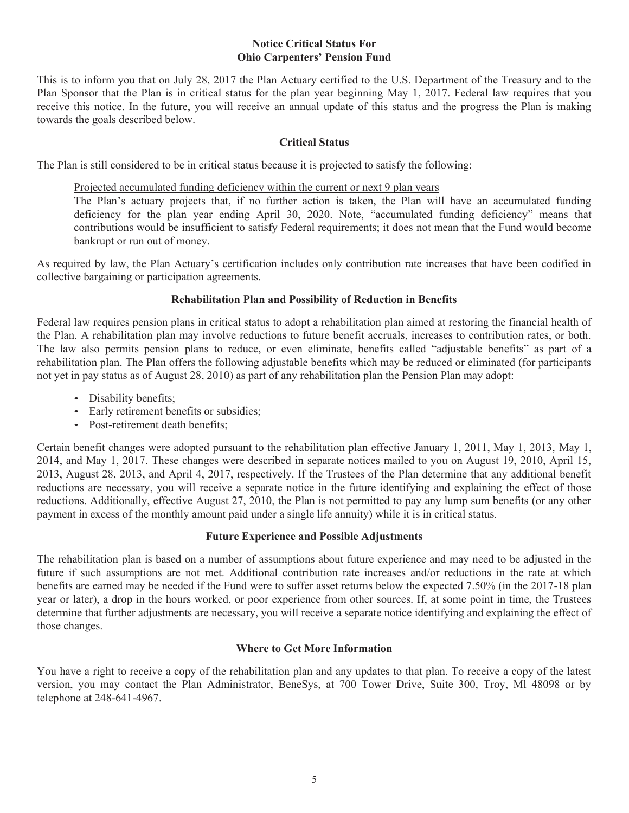#### **Notice Critical Status For Ohio Carpenters' Pension Fund**

This is to inform you that on July 28, 2017 the Plan Actuary certified to the U.S. Department of the Treasury and to the Plan Sponsor that the Plan is in critical status for the plan year beginning May 1, 2017. Federal law requires that you receive this notice. In the future, you will receive an annual update of this status and the progress the Plan is making towards the goals described below.

### **Critical Status**

The Plan is still considered to be in critical status because it is projected to satisfy the following:

Projected accumulated funding deficiency within the current or next 9 plan years

The Plan's actuary projects that, if no further action is taken, the Plan will have an accumulated funding deficiency for the plan year ending April 30, 2020. Note, "accumulated funding deficiency" means that contributions would be insufficient to satisfy Federal requirements; it does not mean that the Fund would become bankrupt or run out of money.

As required by law, the Plan Actuary's certification includes only contribution rate increases that have been codified in collective bargaining or participation agreements.

# **Rehabilitation Plan and Possibility of Reduction in Benefits**

Federal law requires pension plans in critical status to adopt a rehabilitation plan aimed at restoring the financial health of the Plan. A rehabilitation plan may involve reductions to future benefit accruals, increases to contribution rates, or both. The law also permits pension plans to reduce, or even eliminate, benefits called "adjustable benefits" as part of a rehabilitation plan. The Plan offers the following adjustable benefits which may be reduced or eliminated (for participants not yet in pay status as of August 28, 2010) as part of any rehabilitation plan the Pension Plan may adopt:

- Disability benefits;
- Early retirement benefits or subsidies;
- Post-retirement death benefits;

Certain benefit changes were adopted pursuant to the rehabilitation plan effective January 1, 2011, May 1, 2013, May 1, 2014, and May 1, 2017. These changes were described in separate notices mailed to you on August 19, 2010, April 15, 2013, August 28, 2013, and April 4, 2017, respectively. If the Trustees of the Plan determine that any additional benefit reductions are necessary, you will receive a separate notice in the future identifying and explaining the effect of those reductions. Additionally, effective August 27, 2010, the Plan is not permitted to pay any lump sum benefits (or any other payment in excess of the monthly amount paid under a single life annuity) while it is in critical status.

# **Future Experience and Possible Adjustments**

The rehabilitation plan is based on a number of assumptions about future experience and may need to be adjusted in the future if such assumptions are not met. Additional contribution rate increases and/or reductions in the rate at which benefits are earned may be needed if the Fund were to suffer asset returns below the expected 7.50% (in the 2017-18 plan year or later), a drop in the hours worked, or poor experience from other sources. If, at some point in time, the Trustees determine that further adjustments are necessary, you will receive a separate notice identifying and explaining the effect of those changes.

#### **Where to Get More Information**

You have a right to receive a copy of the rehabilitation plan and any updates to that plan. To receive a copy of the latest version, you may contact the Plan Administrator, BeneSys, at 700 Tower Drive, Suite 300, Troy, Ml 48098 or by telephone at 248-641-4967.